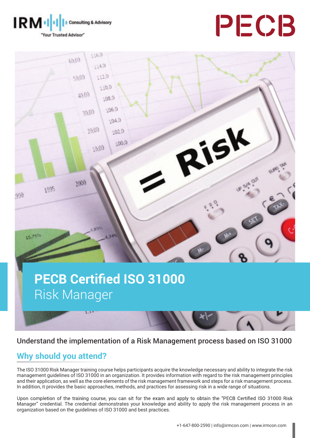





# **PECB Certified ISO 31000** Risk Manager



# **Why should you attend?**

The ISO 31000 Risk Manager training course helps participants acquire the knowledge necessary and ability to integrate the risk management guidelines of ISO 31000 in an organization. It provides information with regard to the risk management principles and their application, as well as the core elements of the risk management framework and steps for a risk management process. In addition, it provides the basic approaches, methods, and practices for assessing risk in a wide range of situations.

Upon completion of the training course, you can sit for the exam and apply to obtain the "PECB Certified ISO 31000 Risk Manager" credential. The credential demonstrates your knowledge and ability to apply the risk management process in an organization based on the guidelines of ISO 31000 and best practices.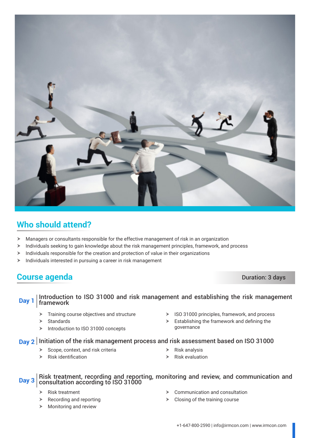

# **Who should attend?**

- $\blacktriangleright$  Managers or consultants responsible for the effective management of risk in an organization
- $\triangleright$  Individuals seeking to gain knowledge about the risk management principles, framework, and process
- $\blacktriangleright$  Individuals responsible for the creation and protection of value in their organizations
- $\blacktriangleright$  Individuals interested in pursuing a career in risk management

## **Course agenda** Duration: 3 days

### **Day 1** Introduction to ISO 31000 and risk management and establishing the risk management framework

- $\triangleright$  Training course objectives and structure
- $\triangleright$  Standards
- $\triangleright$  Introduction to ISO 31000 concepts
- $\triangleright$  ISO 31000 principles, framework, and process
- $\blacktriangleright$  Establishing the framework and defining the governance

### **Day 2** Initiation of the risk management process and risk assessment based on ISO 31000

- $\blacktriangleright$  Scope, context, and risk criteria
- $\blacktriangleright$  Risk identification
- $\triangleright$  Risk analysis
- $\triangleright$  Risk evaluation

# **Day 3** Risk treatment, recording and reporting, monitoring and review, and communication and consultation according to ISO 31000

- $\triangleright$  Risk treatment
- Recording and reporting
- $\blacktriangleright$  Monitoring and review
- $\triangleright$  Communication and consultation
- $\triangleright$  Closing of the training course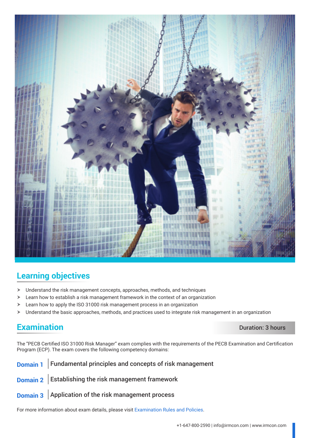

# **Learning objectives**

- $\blacktriangleright$  Understand the risk management concepts, approaches, methods, and techniques
- $\blacktriangleright$  Learn how to establish a risk management framework in the context of an organization
- $\geq$  Learn how to apply the ISO 31000 risk management process in an organization
- $\triangleright$  Understand the basic approaches, methods, and practices used to integrate risk management in an organization

## **Examination** Duration: 3 hours

The "PECB Certified ISO 31000 Risk Manager" exam complies with the requirements of the PECB Examination and Certification Program (ECP). The exam covers the following competency domains:

# **Domain 1** Fundamental principles and concepts of risk management **Domain 2** Establishing the risk management framework

**Domain 3** Application of the risk management process

For more information about exam details, please visit [Examination Rules and Policies](https://pecb.com/en/examination-rules-and-policies).